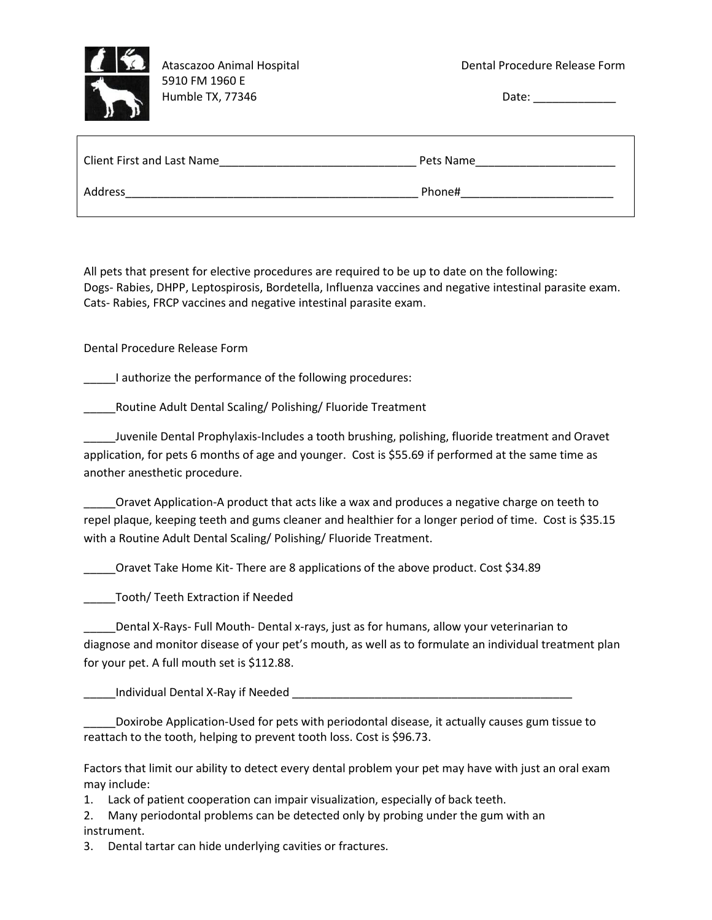

 5910 FM 1960 E Humble TX, 77346 Date:

| <b>Client First and Last Name</b> | Pets Name |
|-----------------------------------|-----------|
| Address                           | Phone#    |

All pets that present for elective procedures are required to be up to date on the following: Dogs- Rabies, DHPP, Leptospirosis, Bordetella, Influenza vaccines and negative intestinal parasite exam. Cats- Rabies, FRCP vaccines and negative intestinal parasite exam.

Dental Procedure Release Form

I authorize the performance of the following procedures:

\_\_\_\_\_Routine Adult Dental Scaling/ Polishing/ Fluoride Treatment

\_\_\_\_\_Juvenile Dental Prophylaxis-Includes a tooth brushing, polishing, fluoride treatment and Oravet application, for pets 6 months of age and younger. Cost is \$55.69 if performed at the same time as another anesthetic procedure.

\_\_\_\_\_Oravet Application-A product that acts like a wax and produces a negative charge on teeth to repel plaque, keeping teeth and gums cleaner and healthier for a longer period of time. Cost is \$35.15 with a Routine Adult Dental Scaling/ Polishing/ Fluoride Treatment.

\_\_\_\_\_Oravet Take Home Kit- There are 8 applications of the above product. Cost \$34.89

\_\_\_\_\_Tooth/ Teeth Extraction if Needed

\_\_\_\_\_Dental X-Rays- Full Mouth- Dental x-rays, just as for humans, allow your veterinarian to diagnose and monitor disease of your pet's mouth, as well as to formulate an individual treatment plan for your pet. A full mouth set is \$112.88.

\_\_\_\_\_Individual Dental X-Ray if Needed \_\_\_\_\_\_\_\_\_\_\_\_\_\_\_\_\_\_\_\_\_\_\_\_\_\_\_\_\_\_\_\_\_\_\_\_\_\_\_\_\_\_\_\_

\_\_\_\_\_Doxirobe Application-Used for pets with periodontal disease, it actually causes gum tissue to reattach to the tooth, helping to prevent tooth loss. Cost is \$96.73.

Factors that limit our ability to detect every dental problem your pet may have with just an oral exam may include:

1. Lack of patient cooperation can impair visualization, especially of back teeth.

2. Many periodontal problems can be detected only by probing under the gum with an instrument.

3. Dental tartar can hide underlying cavities or fractures.